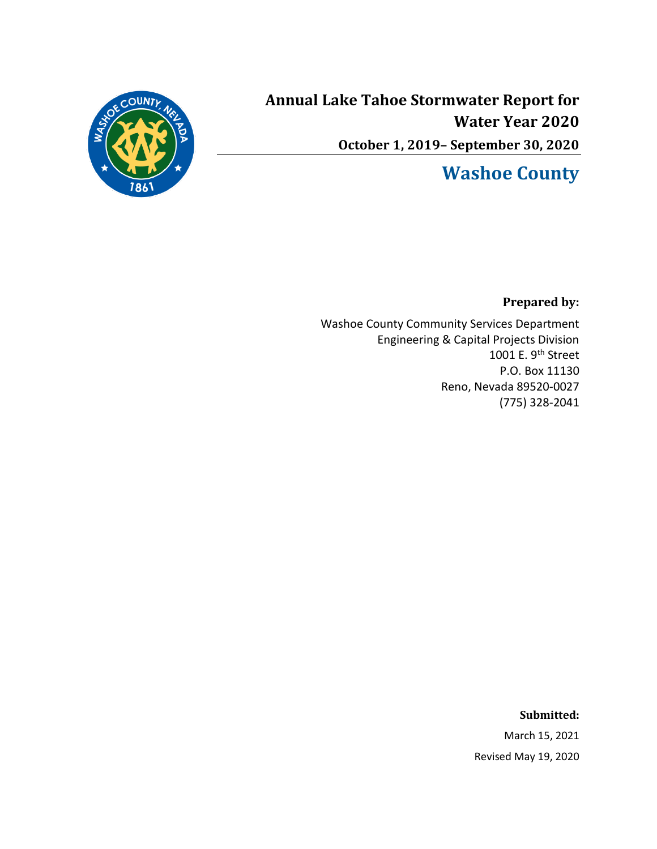

**Annual Lake Tahoe Stormwater Report for Water Year 2020 October 1, 2019– September 30, 2020**

# **Washoe County**

**Prepared by:**

Washoe County Community Services Department Engineering & Capital Projects Division 1001 E. 9<sup>th</sup> Street P.O. Box 11130 Reno, Nevada 89520-0027 (775) 328-2041

#### **Submitted:**

March 15, 2021 Revised May 19, 2020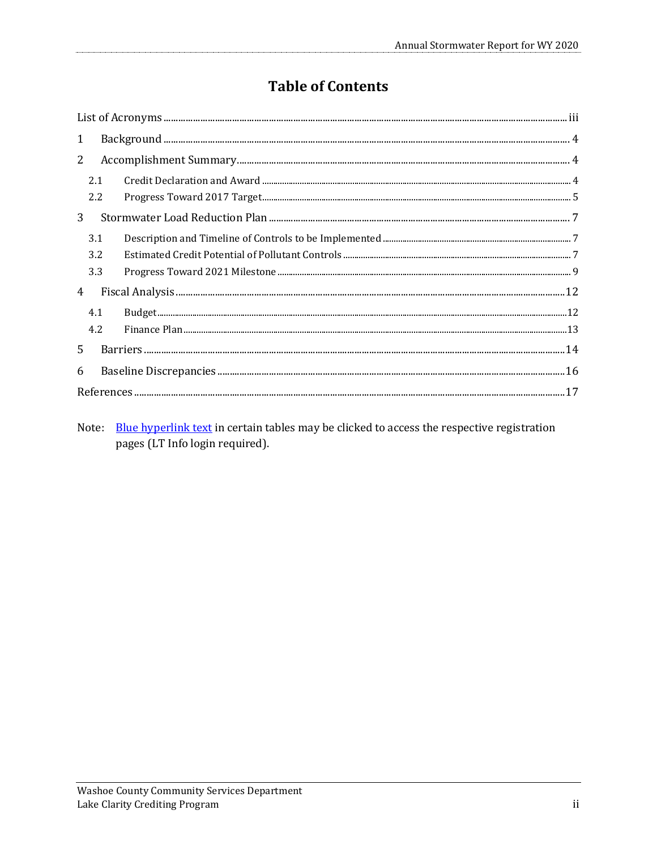# **Table of Contents**

| $\mathbf{1}$                                                                                                                                                                                                                                                                                                                                                                                                                                                                                |  |
|---------------------------------------------------------------------------------------------------------------------------------------------------------------------------------------------------------------------------------------------------------------------------------------------------------------------------------------------------------------------------------------------------------------------------------------------------------------------------------------------|--|
| $2^{\circ}$                                                                                                                                                                                                                                                                                                                                                                                                                                                                                 |  |
| 2.1                                                                                                                                                                                                                                                                                                                                                                                                                                                                                         |  |
| $\label{eq:3} \textbf{Progress\, Toward\,2017\,Target}\textcolor{red}{\textbf{~Target}\,\textcolor{red}{\textbf{~}}\textbf{~}}\textcolor{red}{\textbf{~}}\textbf{~}}\textbf{~}}\textbf{~5}$<br>2.2                                                                                                                                                                                                                                                                                          |  |
| 3 <sup>1</sup>                                                                                                                                                                                                                                                                                                                                                                                                                                                                              |  |
| 3.1                                                                                                                                                                                                                                                                                                                                                                                                                                                                                         |  |
| 3.2                                                                                                                                                                                                                                                                                                                                                                                                                                                                                         |  |
| 3.3                                                                                                                                                                                                                                                                                                                                                                                                                                                                                         |  |
| 4                                                                                                                                                                                                                                                                                                                                                                                                                                                                                           |  |
| $\begin{minipage}{0.9\linewidth} \textbf{Budeqet} \textbf{\texttt{}} \textbf{\texttt{}} \textbf{\texttt{}} \textbf{\texttt{}} \textbf{\texttt{}} \textbf{\texttt{}} \textbf{\texttt{}} \textbf{\texttt{}} \textbf{\texttt{}} \textbf{\texttt{}} \textbf{\texttt{}} \textbf{\texttt{}} \textbf{\texttt{}} \textbf{\texttt{}} \textbf{\texttt{}} \textbf{\texttt{}} \textbf{\texttt{}} \textbf{\texttt{}} \textbf{\texttt{}} \textbf{\texttt{}} \textbf{\texttt{}} \textbf{\texttt{}}$<br>4.1 |  |
| 4.2                                                                                                                                                                                                                                                                                                                                                                                                                                                                                         |  |
| 5                                                                                                                                                                                                                                                                                                                                                                                                                                                                                           |  |
| 6                                                                                                                                                                                                                                                                                                                                                                                                                                                                                           |  |
|                                                                                                                                                                                                                                                                                                                                                                                                                                                                                             |  |

Note: Blue hyperlink text in certain tables may be clicked to access the respective registration pages (LT Info login required).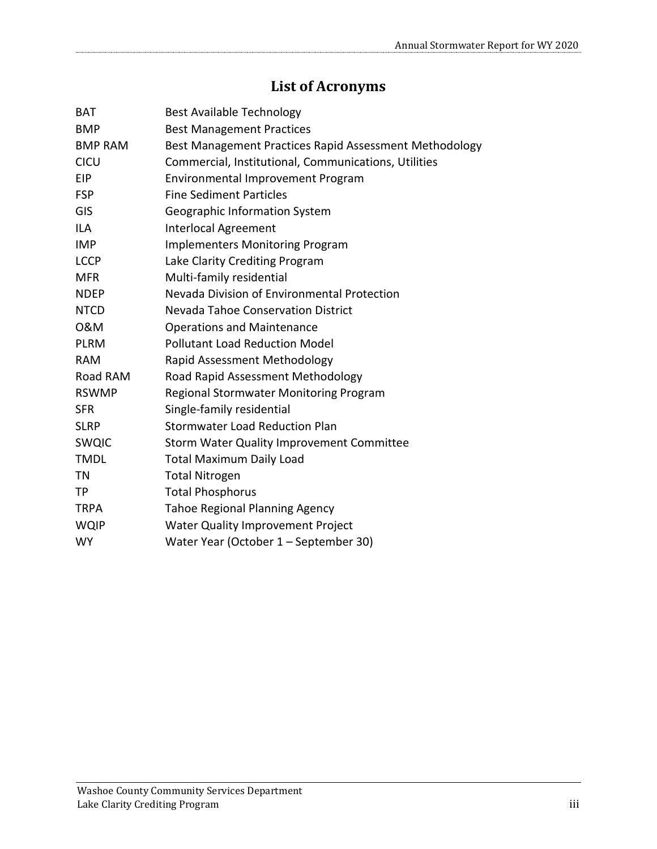# **List of Acronyms**

<span id="page-2-0"></span>

| <b>BAT</b>     | <b>Best Available Technology</b>                       |
|----------------|--------------------------------------------------------|
| <b>BMP</b>     | <b>Best Management Practices</b>                       |
| <b>BMP RAM</b> | Best Management Practices Rapid Assessment Methodology |
| CICU           | Commercial, Institutional, Communications, Utilities   |
| <b>EIP</b>     | Environmental Improvement Program                      |
| <b>FSP</b>     | <b>Fine Sediment Particles</b>                         |
| GIS            | Geographic Information System                          |
| <b>ILA</b>     | <b>Interlocal Agreement</b>                            |
| <b>IMP</b>     | <b>Implementers Monitoring Program</b>                 |
| <b>LCCP</b>    | Lake Clarity Crediting Program                         |
| <b>MFR</b>     | Multi-family residential                               |
| <b>NDEP</b>    | Nevada Division of Environmental Protection            |
| <b>NTCD</b>    | Nevada Tahoe Conservation District                     |
| 0&M            | <b>Operations and Maintenance</b>                      |
| <b>PLRM</b>    | <b>Pollutant Load Reduction Model</b>                  |
| <b>RAM</b>     | Rapid Assessment Methodology                           |
| Road RAM       | Road Rapid Assessment Methodology                      |
| <b>RSWMP</b>   | Regional Stormwater Monitoring Program                 |
| <b>SFR</b>     | Single-family residential                              |
| <b>SLRP</b>    | <b>Stormwater Load Reduction Plan</b>                  |
| <b>SWQIC</b>   | <b>Storm Water Quality Improvement Committee</b>       |
| <b>TMDL</b>    | <b>Total Maximum Daily Load</b>                        |
| <b>TN</b>      | <b>Total Nitrogen</b>                                  |
| <b>TP</b>      | <b>Total Phosphorus</b>                                |
| <b>TRPA</b>    | <b>Tahoe Regional Planning Agency</b>                  |
| <b>WQIP</b>    | Water Quality Improvement Project                      |
| <b>WY</b>      | Water Year (October 1 - September 30)                  |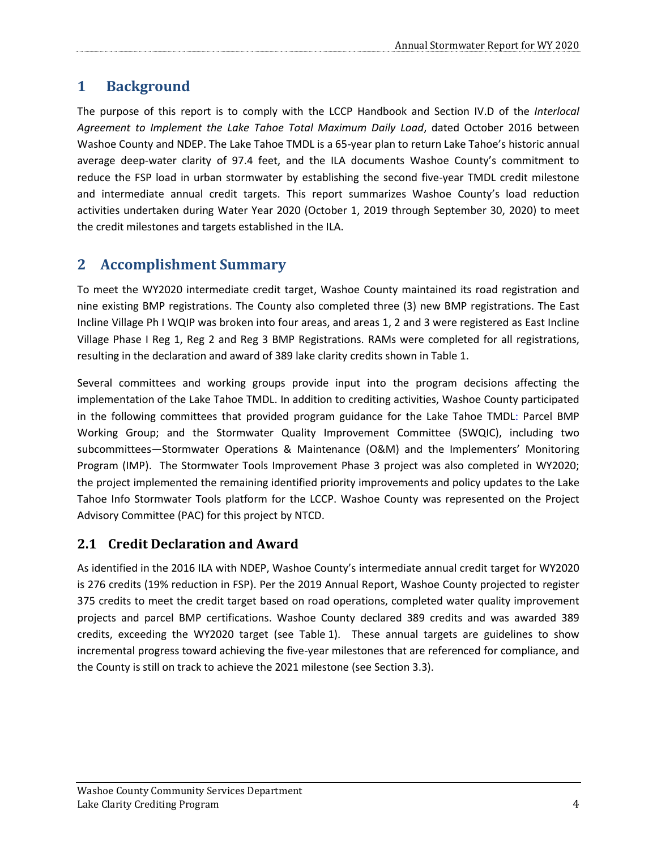# <span id="page-3-0"></span>**1 Background**

The purpose of this report is to comply with the LCCP Handbook and Section IV.D of the *Interlocal Agreement to Implement the Lake Tahoe Total Maximum Daily Load*, dated October 2016 between Washoe County and NDEP. The Lake Tahoe TMDL is a 65-year plan to return Lake Tahoe's historic annual average deep-water clarity of 97.4 feet, and the ILA documents Washoe County's commitment to reduce the FSP load in urban stormwater by establishing the second five-year TMDL credit milestone and intermediate annual credit targets. This report summarizes Washoe County's load reduction activities undertaken during Water Year 2020 (October 1, 2019 through September 30, 2020) to meet the credit milestones and targets established in the ILA.

## <span id="page-3-1"></span>**2 Accomplishment Summary**

To meet the WY2020 intermediate credit target, Washoe County maintained its road registration and nine existing BMP registrations. The County also completed three (3) new BMP registrations. The East Incline Village Ph I WQIP was broken into four areas, and areas 1, 2 and 3 were registered as East Incline Village Phase I Reg 1, Reg 2 and Reg 3 BMP Registrations. RAMs were completed for all registrations, resulting in the declaration and award of 389 lake clarity credits shown in [Table](#page-4-1) 1.

Several committees and working groups provide input into the program decisions affecting the implementation of the Lake Tahoe TMDL. In addition to crediting activities, Washoe County participated in the following committees that provided program guidance for the Lake Tahoe TMDL: Parcel BMP Working Group; and the Stormwater Quality Improvement Committee (SWQIC), including two subcommittees—Stormwater Operations & Maintenance (O&M) and the Implementers' Monitoring Program (IMP). The Stormwater Tools Improvement Phase 3 project was also completed in WY2020; the project implemented the remaining identified priority improvements and policy updates to the Lake Tahoe Info Stormwater Tools platform for the LCCP. Washoe County was represented on the Project Advisory Committee (PAC) for this project by NTCD.

### <span id="page-3-2"></span>**2.1 Credit Declaration and Award**

As identified in the 2016 ILA with NDEP, Washoe County's intermediate annual credit target for WY2020 is 276 credits (19% reduction in FSP). Per the 2019 Annual Report, Washoe County projected to register 375 credits to meet the credit target based on road operations, completed water quality improvement projects and parcel BMP certifications. Washoe County declared 389 credits and was awarded 389 credits, exceeding the WY2020 target (see [Table](#page-4-1) 1). These annual targets are guidelines to show incremental progress toward achieving the five-year milestones that are referenced for compliance, and the County is still on track to achieve the 2021 milestone (see Sectio[n 3.3\)](#page-8-0).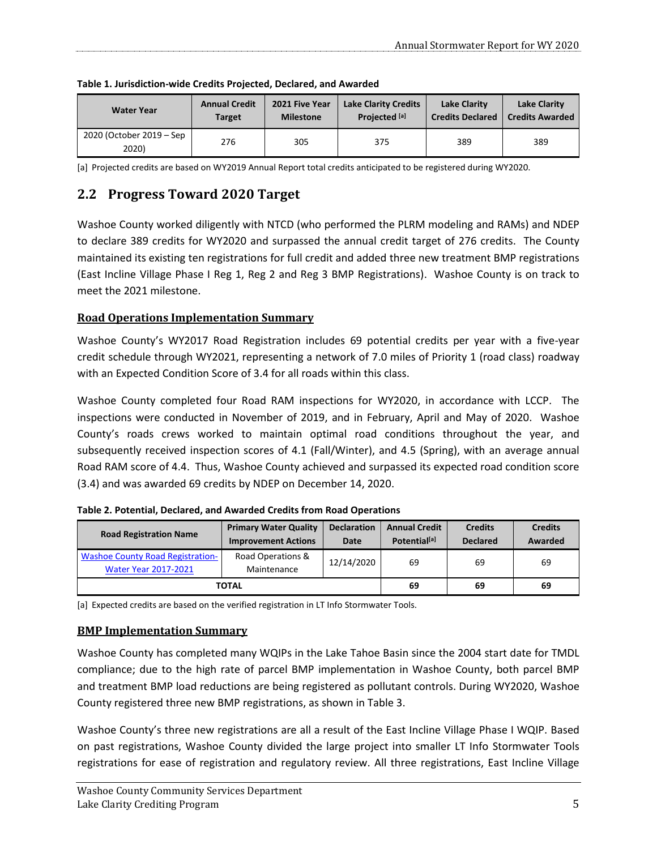| <b>Water Year</b>                 | <b>Annual Credit</b> | 2021 Five Year   | <b>Lake Clarity Credits</b> | <b>Lake Clarity</b>     | <b>Lake Clarity</b>    |
|-----------------------------------|----------------------|------------------|-----------------------------|-------------------------|------------------------|
|                                   | Target               | <b>Milestone</b> | Projected <sup>[a]</sup>    | <b>Credits Declared</b> | <b>Credits Awarded</b> |
| 2020 (October 2019 – Sep<br>2020) | 276                  | 305              | 375                         | 389                     | 389                    |

<span id="page-4-1"></span>**Table 1. Jurisdiction-wide Credits Projected, Declared, and Awarded**

[a] Projected credits are based on WY2019 Annual Report total credits anticipated to be registered during WY2020.

### <span id="page-4-0"></span>**2.2 Progress Toward 2020 Target**

Washoe County worked diligently with NTCD (who performed the PLRM modeling and RAMs) and NDEP to declare 389 credits for WY2020 and surpassed the annual credit target of 276 credits. The County maintained its existing ten registrations for full credit and added three new treatment BMP registrations (East Incline Village Phase I Reg 1, Reg 2 and Reg 3 BMP Registrations). Washoe County is on track to meet the 2021 milestone.

#### **Road Operations Implementation Summary**

Washoe County's WY2017 Road Registration includes 69 potential credits per year with a five-year credit schedule through WY2021, representing a network of 7.0 miles of Priority 1 (road class) roadway with an Expected Condition Score of 3.4 for all roads within this class.

Washoe County completed four Road RAM inspections for WY2020, in accordance with LCCP. The inspections were conducted in November of 2019, and in February, April and May of 2020. Washoe County's roads crews worked to maintain optimal road conditions throughout the year, and subsequently received inspection scores of 4.1 (Fall/Winter), and 4.5 (Spring), with an average annual Road RAM score of 4.4. Thus, Washoe County achieved and surpassed its expected road condition score (3.4) and was awarded 69 credits by NDEP on December 14, 2020.

| <b>Road Registration Name</b>                                          | <b>Primary Water Quality</b><br><b>Improvement Actions</b> | <b>Declaration</b><br>Date | <b>Annual Credit</b><br>Potential <sup>[a]</sup> | <b>Credits</b><br><b>Declared</b> | <b>Credits</b><br>Awarded |
|------------------------------------------------------------------------|------------------------------------------------------------|----------------------------|--------------------------------------------------|-----------------------------------|---------------------------|
| <b>Washoe County Road Registration-</b><br><b>Water Year 2017-2021</b> | Road Operations &<br>Maintenance                           | 12/14/2020                 | 69                                               | 69                                | 69                        |
|                                                                        | <b>TOTAL</b>                                               | 69                         | 69                                               | 69                                |                           |

**Table 2. Potential, Declared, and Awarded Credits from Road Operations**

[a] Expected credits are based on the verified registration in LT Info Stormwater Tools.

### **BMP Implementation Summary**

Washoe County has completed many WQIPs in the Lake Tahoe Basin since the 2004 start date for TMDL compliance; due to the high rate of parcel BMP implementation in Washoe County, both parcel BMP and treatment BMP load reductions are being registered as pollutant controls. During WY2020, Washoe County registered three new BMP registrations, as shown i[n Table 3.](#page-5-0)

Washoe County's three new registrations are all a result of the East Incline Village Phase I WQIP. Based on past registrations, Washoe County divided the large project into smaller LT Info Stormwater Tools registrations for ease of registration and regulatory review. All three registrations, East Incline Village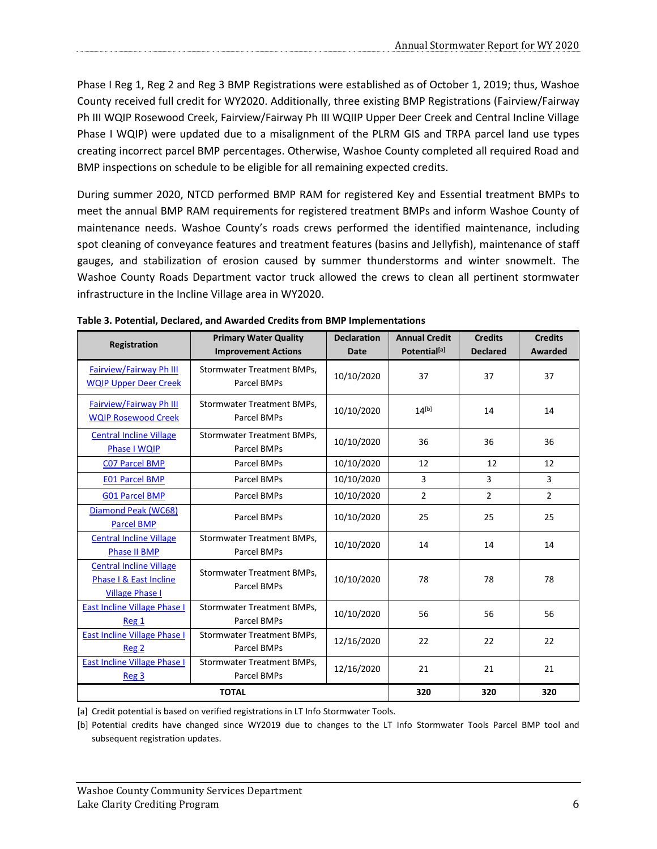Phase I Reg 1, Reg 2 and Reg 3 BMP Registrations were established as of October 1, 2019; thus, Washoe County received full credit for WY2020. Additionally, three existing BMP Registrations (Fairview/Fairway Ph III WQIP Rosewood Creek, Fairview/Fairway Ph III WQIIP Upper Deer Creek and Central Incline Village Phase I WQIP) were updated due to a misalignment of the PLRM GIS and TRPA parcel land use types creating incorrect parcel BMP percentages. Otherwise, Washoe County completed all required Road and BMP inspections on schedule to be eligible for all remaining expected credits.

During summer 2020, NTCD performed BMP RAM for registered Key and Essential treatment BMPs to meet the annual BMP RAM requirements for registered treatment BMPs and inform Washoe County of maintenance needs. Washoe County's roads crews performed the identified maintenance, including spot cleaning of conveyance features and treatment features (basins and Jellyfish), maintenance of staff gauges, and stabilization of erosion caused by summer thunderstorms and winter snowmelt. The Washoe County Roads Department vactor truck allowed the crews to clean all pertinent stormwater infrastructure in the Incline Village area in WY2020.

| Registration                                                                       | <b>Primary Water Quality</b><br><b>Improvement Actions</b> | <b>Declaration</b><br><b>Date</b> | <b>Annual Credit</b><br>Potential <sup>[a]</sup> | <b>Credits</b><br><b>Declared</b> | <b>Credits</b><br>Awarded |
|------------------------------------------------------------------------------------|------------------------------------------------------------|-----------------------------------|--------------------------------------------------|-----------------------------------|---------------------------|
| <b>Fairview/Fairway Ph III</b><br><b>WQIP Upper Deer Creek</b>                     | Stormwater Treatment BMPs,<br>Parcel BMPs                  | 10/10/2020                        | 37                                               | 37                                | 37                        |
| <b>Fairview/Fairway Ph III</b><br><b>WOIP Rosewood Creek</b>                       | Stormwater Treatment BMPs,<br>Parcel BMPs                  | 10/10/2020                        | $14^{[b]}$                                       | 14                                | 14                        |
| <b>Central Incline Village</b><br><b>Phase I WOIP</b>                              | Stormwater Treatment BMPs,<br>Parcel BMPs                  | 10/10/2020                        | 36                                               | 36                                | 36                        |
| <b>CO7 Parcel BMP</b>                                                              | Parcel BMPs                                                | 10/10/2020                        | 12                                               | 12                                | 12                        |
| <b>E01 Parcel BMP</b>                                                              | Parcel BMPs                                                | 10/10/2020                        | 3                                                | 3                                 | 3                         |
| <b>G01 Parcel BMP</b>                                                              | Parcel BMPs                                                | 10/10/2020                        | $\overline{2}$                                   | $\overline{2}$                    | $\overline{2}$            |
| Diamond Peak (WC68)<br><b>Parcel BMP</b>                                           | Parcel BMPs                                                | 10/10/2020                        | 25                                               | 25                                | 25                        |
| <b>Central Incline Village</b><br><b>Phase II BMP</b>                              | Stormwater Treatment BMPs,<br>Parcel BMPs                  | 10/10/2020                        | 14                                               | 14                                | 14                        |
| <b>Central Incline Village</b><br>Phase I & East Incline<br><b>Village Phase I</b> | <b>Stormwater Treatment BMPs.</b><br>Parcel BMPs           | 10/10/2020                        | 78                                               | 78                                | 78                        |
| <b>East Incline Village Phase I</b><br>Reg 1                                       | <b>Stormwater Treatment BMPs,</b><br>Parcel BMPs           | 10/10/2020                        | 56                                               | 56                                | 56                        |
| <b>East Incline Village Phase I</b><br>Reg 2                                       | Stormwater Treatment BMPs,<br>Parcel BMPs                  | 12/16/2020                        | 22                                               | 22                                | 22                        |
| <b>East Incline Village Phase I</b><br>Reg <sub>3</sub>                            | Stormwater Treatment BMPs,<br>12/16/2020<br>Parcel BMPs    |                                   | 21                                               | 21                                | 21                        |
|                                                                                    | <b>TOTAL</b>                                               | 320                               | 320                                              | 320                               |                           |

<span id="page-5-0"></span>

[a] Credit potential is based on verified registrations in LT Info Stormwater Tools.

[b] Potential credits have changed since WY2019 due to changes to the LT Info Stormwater Tools Parcel BMP tool and subsequent registration updates.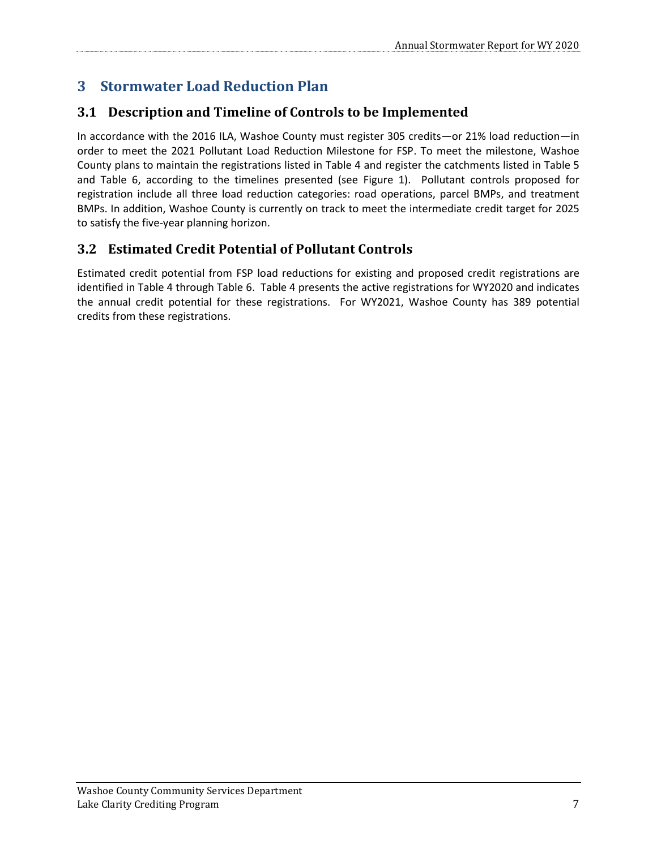# <span id="page-6-0"></span>**3 Stormwater Load Reduction Plan**

### <span id="page-6-1"></span>**3.1 Description and Timeline of Controls to be Implemented**

In accordance with the 2016 ILA, Washoe County must register 305 credits—or 21% load reduction—in order to meet the 2021 Pollutant Load Reduction Milestone for FSP. To meet the milestone, Washoe County plans to maintain the registrations listed in [Table 4](#page-7-0) and register the catchments listed in [Table 5](#page-8-1) and [Table 6,](#page-9-0) according to the timelines presented (see [Figure 1\)](#page-10-0). Pollutant controls proposed for registration include all three load reduction categories: road operations, parcel BMPs, and treatment BMPs. In addition, Washoe County is currently on track to meet the intermediate credit target for 2025 to satisfy the five-year planning horizon.

### <span id="page-6-2"></span>**3.2 Estimated Credit Potential of Pollutant Controls**

Estimated credit potential from FSP load reductions for existing and proposed credit registrations are identified in [Table 4](#page-7-0) through [Table 6.](#page-9-0) [Table 4](#page-7-0) presents the active registrations for WY2020 and indicates the annual credit potential for these registrations. For WY2021, Washoe County has 389 potential credits from these registrations.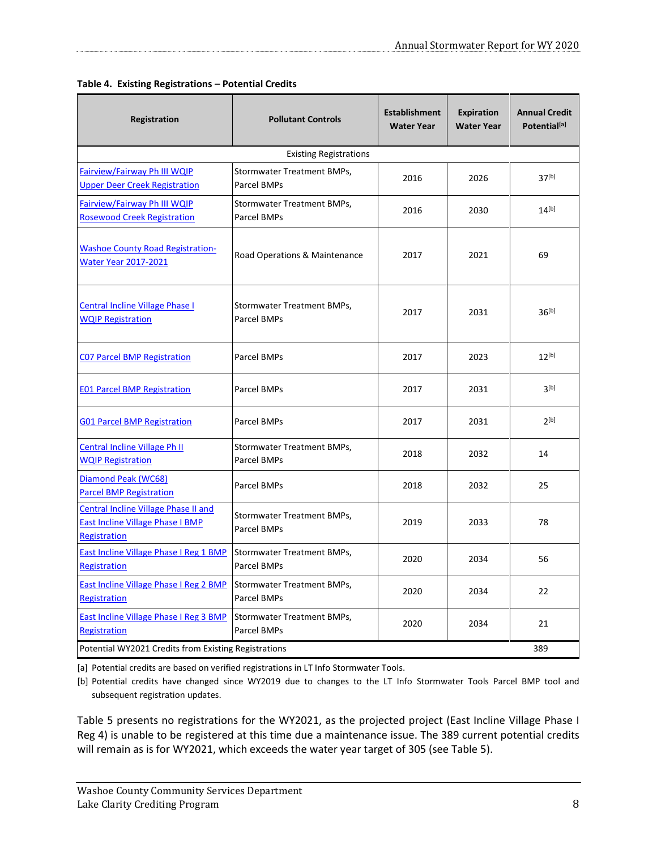| Registration                                                                                           | <b>Pollutant Controls</b>                 | <b>Establishment</b><br><b>Water Year</b> | <b>Expiration</b><br><b>Water Year</b> | <b>Annual Credit</b><br>Potential <sup>[a]</sup> |  |  |  |  |
|--------------------------------------------------------------------------------------------------------|-------------------------------------------|-------------------------------------------|----------------------------------------|--------------------------------------------------|--|--|--|--|
| <b>Existing Registrations</b>                                                                          |                                           |                                           |                                        |                                                  |  |  |  |  |
| Fairview/Fairway Ph III WQIP<br><b>Upper Deer Creek Registration</b>                                   | Stormwater Treatment BMPs,<br>Parcel BMPs | 2016                                      | 2026                                   | 37 <sup>[b]</sup>                                |  |  |  |  |
| Fairview/Fairway Ph III WQIP<br><b>Rosewood Creek Registration</b>                                     | Stormwater Treatment BMPs,<br>Parcel BMPs | 2016                                      | 2030                                   | $14^{[b]}$                                       |  |  |  |  |
| <b>Washoe County Road Registration-</b><br><b>Water Year 2017-2021</b>                                 | Road Operations & Maintenance             | 2017                                      | 2021                                   | 69                                               |  |  |  |  |
| Central Incline Village Phase I<br><b>WQIP Registration</b>                                            | Stormwater Treatment BMPs,<br>Parcel BMPs | 2017                                      | 2031                                   | $36^{[b]}$                                       |  |  |  |  |
| <b>CO7 Parcel BMP Registration</b>                                                                     | Parcel BMPs                               | 2017                                      | 2023                                   | $12^{[b]}$                                       |  |  |  |  |
| <b>E01 Parcel BMP Registration</b>                                                                     | Parcel BMPs                               | 2017                                      | 2031                                   | 3 <sub>[b]</sub>                                 |  |  |  |  |
| <b>G01 Parcel BMP Registration</b>                                                                     | Parcel BMPs                               | 2017                                      | 2031                                   | $2^{[b]}$                                        |  |  |  |  |
| Central Incline Village Ph II<br><b>WQIP Registration</b>                                              | Stormwater Treatment BMPs,<br>Parcel BMPs | 2018                                      | 2032                                   | 14                                               |  |  |  |  |
| Diamond Peak (WC68)<br><b>Parcel BMP Registration</b>                                                  | Parcel BMPs                               | 2018                                      | 2032                                   | 25                                               |  |  |  |  |
| Central Incline Village Phase II and<br><b>East Incline Village Phase I BMP</b><br><b>Registration</b> | Stormwater Treatment BMPs,<br>Parcel BMPs | 2019                                      | 2033                                   | 78                                               |  |  |  |  |
| <b>East Incline Village Phase I Reg 1 BMP</b><br>Registration                                          | Stormwater Treatment BMPs,<br>Parcel BMPs | 2020                                      | 2034                                   | 56                                               |  |  |  |  |
| <b>East Incline Village Phase I Reg 2 BMP</b><br>Registration                                          | Stormwater Treatment BMPs,<br>Parcel BMPs | 2020                                      | 2034                                   | 22                                               |  |  |  |  |
| <b>East Incline Village Phase I Reg 3 BMP</b><br>Registration                                          | Stormwater Treatment BMPs,<br>Parcel BMPs | 2020                                      | 2034                                   | 21                                               |  |  |  |  |
| Potential WY2021 Credits from Existing Registrations<br>389                                            |                                           |                                           |                                        |                                                  |  |  |  |  |

#### <span id="page-7-0"></span>**Table 4. Existing Registrations – Potential Credits**

[a] Potential credits are based on verified registrations in LT Info Stormwater Tools.

[b] Potential credits have changed since WY2019 due to changes to the LT Info Stormwater Tools Parcel BMP tool and subsequent registration updates.

[Table 5](#page-8-1) presents no registrations for the WY2021, as the projected project (East Incline Village Phase I Reg 4) is unable to be registered at this time due a maintenance issue. The 389 current potential credits will remain as is for WY2021, which exceeds the water year target of 305 (se[e Table 5\)](#page-8-1).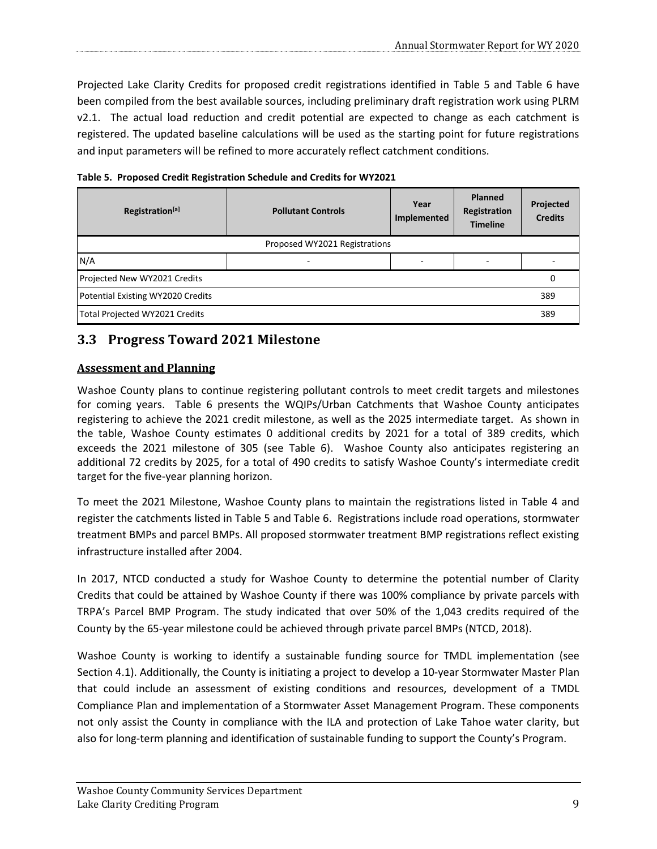Projected Lake Clarity Credits for proposed credit registrations identified in [Table 5](#page-8-1) and [Table 6](#page-9-0) have been compiled from the best available sources, including preliminary draft registration work using PLRM v2.1. The actual load reduction and credit potential are expected to change as each catchment is registered. The updated baseline calculations will be used as the starting point for future registrations and input parameters will be refined to more accurately reflect catchment conditions.

<span id="page-8-1"></span>**Table 5. Proposed Credit Registration Schedule and Credits for WY2021**

| Registration <sup>[a]</sup>       | <b>Pollutant Controls</b>     | Year<br>Implemented | <b>Planned</b><br>Registration<br><b>Timeline</b> | Projected<br><b>Credits</b> |
|-----------------------------------|-------------------------------|---------------------|---------------------------------------------------|-----------------------------|
|                                   | Proposed WY2021 Registrations |                     |                                                   |                             |
| N/A                               | ٠                             |                     |                                                   |                             |
| Projected New WY2021 Credits      |                               |                     |                                                   |                             |
| Potential Existing WY2020 Credits |                               |                     |                                                   |                             |
| Total Projected WY2021 Credits    |                               |                     |                                                   | 389                         |

### <span id="page-8-0"></span>**3.3 Progress Toward 2021 Milestone**

#### **Assessment and Planning**

Washoe County plans to continue registering pollutant controls to meet credit targets and milestones for coming years. [Table 6](#page-9-0) presents the WQIPs/Urban Catchments that Washoe County anticipates registering to achieve the 2021 credit milestone, as well as the 2025 intermediate target. As shown in the table, Washoe County estimates 0 additional credits by 2021 for a total of 389 credits, which exceeds the 2021 milestone of 305 (see [Table 6\)](#page-9-0). Washoe County also anticipates registering an additional 72 credits by 2025, for a total of 490 credits to satisfy Washoe County's intermediate credit target for the five-year planning horizon.

To meet the 2021 Milestone, Washoe County plans to maintain the registrations listed in [Table 4](#page-7-0) and register the catchments listed in [Table 5](#page-8-1) and [Table 6.](#page-9-0) Registrations include road operations, stormwater treatment BMPs and parcel BMPs. All proposed stormwater treatment BMP registrations reflect existing infrastructure installed after 2004.

In 2017, NTCD conducted a study for Washoe County to determine the potential number of Clarity Credits that could be attained by Washoe County if there was 100% compliance by private parcels with TRPA's Parcel BMP Program. The study indicated that over 50% of the 1,043 credits required of the County by the 65-year milestone could be achieved through private parcel BMPs (NTCD, 2018).

Washoe County is working to identify a sustainable funding source for TMDL implementation (see Section [4.1\)](#page-11-1). Additionally, the County is initiating a project to develop a 10-year Stormwater Master Plan that could include an assessment of existing conditions and resources, development of a TMDL Compliance Plan and implementation of a Stormwater Asset Management Program. These components not only assist the County in compliance with the ILA and protection of Lake Tahoe water clarity, but also for long-term planning and identification of sustainable funding to support the County's Program.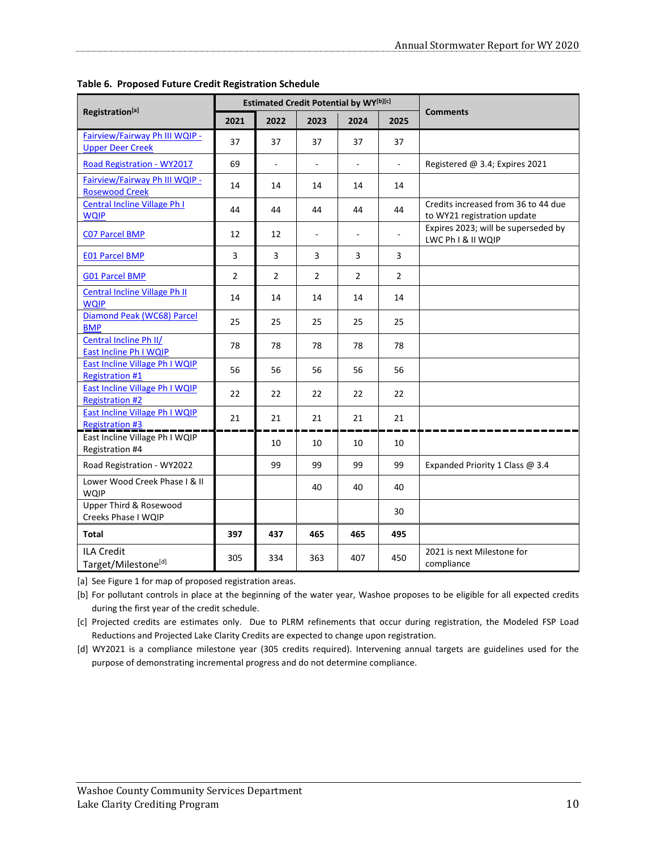|                                                                 | <b>Estimated Credit Potential by WY[b][c]</b> |                |                |      |                |                                                                    |
|-----------------------------------------------------------------|-----------------------------------------------|----------------|----------------|------|----------------|--------------------------------------------------------------------|
| Registration <sup>[a]</sup>                                     | 2021                                          | 2022           | 2023           | 2024 | 2025           | <b>Comments</b>                                                    |
| Fairview/Fairway Ph III WQIP -<br><b>Upper Deer Creek</b>       | 37                                            | 37             | 37             | 37   | 37             |                                                                    |
| <b>Road Registration - WY2017</b>                               | 69                                            |                |                |      |                | Registered @ 3.4; Expires 2021                                     |
| Fairview/Fairway Ph III WQIP -<br><b>Rosewood Creek</b>         | 14                                            | 14             | 14             | 14   | 14             |                                                                    |
| Central Incline Village Ph I<br><b>WQIP</b>                     | 44                                            | 44             | 44             | 44   | 44             | Credits increased from 36 to 44 due<br>to WY21 registration update |
| <b>CO7 Parcel BMP</b>                                           | 12                                            | $12\,$         | $\blacksquare$ | ÷,   |                | Expires 2023; will be superseded by<br>LWC Ph I & II WQIP          |
| <b>E01 Parcel BMP</b>                                           | 3                                             | 3              | 3              | 3    | 3              |                                                                    |
| <b>G01 Parcel BMP</b>                                           | $\overline{2}$                                | $\overline{2}$ | $\overline{2}$ | 2    | $\overline{2}$ |                                                                    |
| <b>Central Incline Village Ph II</b><br><b>WQIP</b>             | 14                                            | 14             | 14             | 14   | 14             |                                                                    |
| Diamond Peak (WC68) Parcel<br><b>BMP</b>                        | 25                                            | 25             | 25             | 25   | 25             |                                                                    |
| Central Incline Ph II/<br><b>East Incline Ph I WQIP</b>         | 78                                            | 78             | 78             | 78   | 78             |                                                                    |
| <b>East Incline Village Ph I WQIP</b><br><b>Registration #1</b> | 56                                            | 56             | 56             | 56   | 56             |                                                                    |
| East Incline Village Ph I WQIP<br><b>Registration #2</b>        | 22                                            | 22             | 22             | 22   | 22             |                                                                    |
| <b>East Incline Village Ph I WQIP</b><br><b>Registration #3</b> | 21                                            | 21             | 21             | 21   | 21             |                                                                    |
| East Incline Village Ph I WQIP<br>Registration #4               |                                               | 10             | 10             | 10   | 10             |                                                                    |
| Road Registration - WY2022                                      |                                               | 99             | 99             | 99   | 99             | Expanded Priority 1 Class @ 3.4                                    |
| Lower Wood Creek Phase   & II<br><b>WQIP</b>                    |                                               |                | 40             | 40   | 40             |                                                                    |
| Upper Third & Rosewood<br>Creeks Phase I WQIP                   |                                               |                |                |      | 30             |                                                                    |
| <b>Total</b>                                                    | 397                                           | 437            | 465            | 465  | 495            |                                                                    |
| <b>ILA Credit</b><br>Target/Milestone[d]                        | 305                                           | 334            | 363            | 407  | 450            | 2021 is next Milestone for<br>compliance                           |

<span id="page-9-0"></span>**Table 6. Proposed Future Credit Registration Schedule**

[a] Se[e Figure 1](#page-10-0) for map of proposed registration areas.

[b] For pollutant controls in place at the beginning of the water year, Washoe proposes to be eligible for all expected credits during the first year of the credit schedule.

[c] Projected credits are estimates only. Due to PLRM refinements that occur during registration, the Modeled FSP Load Reductions and Projected Lake Clarity Credits are expected to change upon registration.

[d] WY2021 is a compliance milestone year (305 credits required). Intervening annual targets are guidelines used for the purpose of demonstrating incremental progress and do not determine compliance.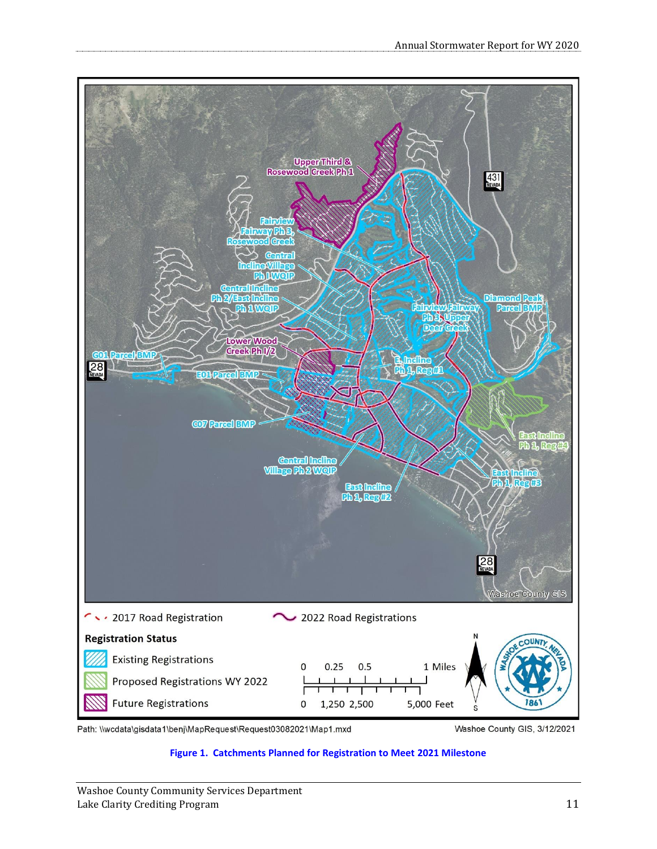

<span id="page-10-0"></span>Path: \\wcdata\gisdata1\benj\MapRequest\Request03082021\Map1.mxd

Washoe County GIS, 3/12/2021

#### **Figure 1. Catchments Planned for Registration to Meet 2021 Milestone**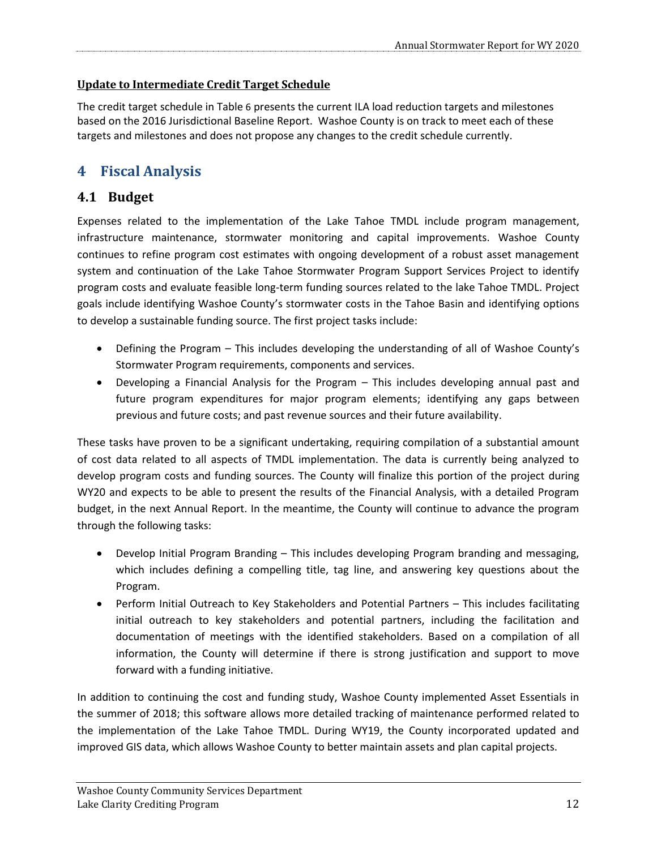### **Update to Intermediate Credit Target Schedule**

The credit target schedule in [Table](#page-9-0) [6](#page-9-0) presents the current ILA load reduction targets and milestones based on the 2016 Jurisdictional Baseline Report. Washoe County is on track to meet each of these targets and milestones and does not propose any changes to the credit schedule currently.

### <span id="page-11-0"></span>**4 Fiscal Analysis**

### <span id="page-11-1"></span>**4.1 Budget**

Expenses related to the implementation of the Lake Tahoe TMDL include program management, infrastructure maintenance, stormwater monitoring and capital improvements. Washoe County continues to refine program cost estimates with ongoing development of a robust asset management system and continuation of the Lake Tahoe Stormwater Program Support Services Project to identify program costs and evaluate feasible long-term funding sources related to the lake Tahoe TMDL. Project goals include identifying Washoe County's stormwater costs in the Tahoe Basin and identifying options to develop a sustainable funding source. The first project tasks include:

- Defining the Program This includes developing the understanding of all of Washoe County's Stormwater Program requirements, components and services.
- Developing a Financial Analysis for the Program This includes developing annual past and future program expenditures for major program elements; identifying any gaps between previous and future costs; and past revenue sources and their future availability.

These tasks have proven to be a significant undertaking, requiring compilation of a substantial amount of cost data related to all aspects of TMDL implementation. The data is currently being analyzed to develop program costs and funding sources. The County will finalize this portion of the project during WY20 and expects to be able to present the results of the Financial Analysis, with a detailed Program budget, in the next Annual Report. In the meantime, the County will continue to advance the program through the following tasks:

- Develop Initial Program Branding This includes developing Program branding and messaging, which includes defining a compelling title, tag line, and answering key questions about the Program.
- Perform Initial Outreach to Key Stakeholders and Potential Partners This includes facilitating initial outreach to key stakeholders and potential partners, including the facilitation and documentation of meetings with the identified stakeholders. Based on a compilation of all information, the County will determine if there is strong justification and support to move forward with a funding initiative.

In addition to continuing the cost and funding study, Washoe County implemented Asset Essentials in the summer of 2018; this software allows more detailed tracking of maintenance performed related to the implementation of the Lake Tahoe TMDL. During WY19, the County incorporated updated and improved GIS data, which allows Washoe County to better maintain assets and plan capital projects.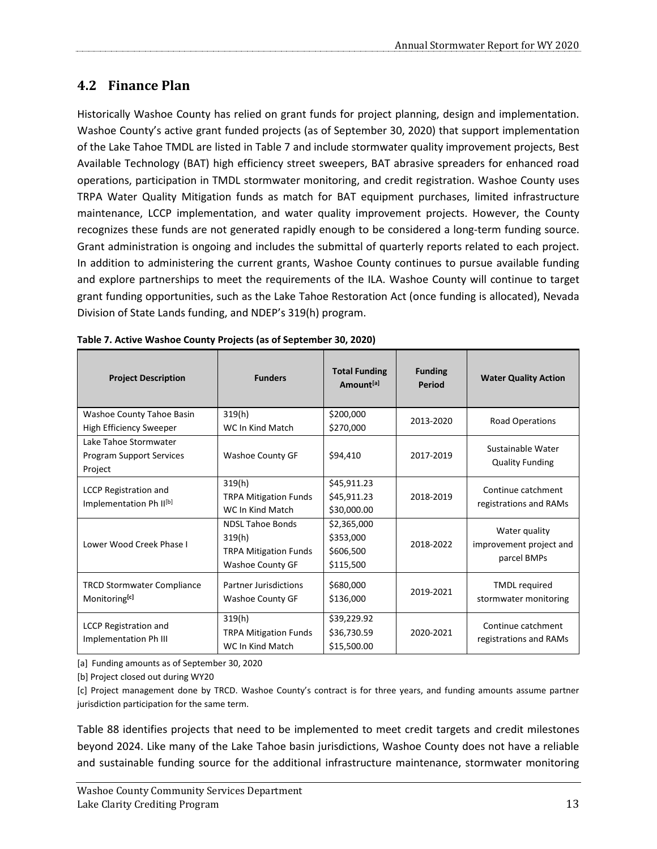### <span id="page-12-0"></span>**4.2 Finance Plan**

Historically Washoe County has relied on grant funds for project planning, design and implementation. Washoe County's active grant funded projects (as of September 30, 2020) that support implementation of the Lake Tahoe TMDL are listed in [Table 7](#page-12-1) and include stormwater quality improvement projects, Best Available Technology (BAT) high efficiency street sweepers, BAT abrasive spreaders for enhanced road operations, participation in TMDL stormwater monitoring, and credit registration. Washoe County uses TRPA Water Quality Mitigation funds as match for BAT equipment purchases, limited infrastructure maintenance, LCCP implementation, and water quality improvement projects. However, the County recognizes these funds are not generated rapidly enough to be considered a long-term funding source. Grant administration is ongoing and includes the submittal of quarterly reports related to each project. In addition to administering the current grants, Washoe County continues to pursue available funding and explore partnerships to meet the requirements of the ILA. Washoe County will continue to target grant funding opportunities, such as the Lake Tahoe Restoration Act (once funding is allocated), Nevada Division of State Lands funding, and NDEP's 319(h) program.

| <b>Project Description</b>                                          | <b>Funders</b>                                                                        | <b>Total Funding</b><br>Amount <sup>[a]</sup>      | <b>Funding</b><br><b>Period</b> | <b>Water Quality Action</b>                             |
|---------------------------------------------------------------------|---------------------------------------------------------------------------------------|----------------------------------------------------|---------------------------------|---------------------------------------------------------|
| Washoe County Tahoe Basin                                           | 319(h)                                                                                | \$200,000                                          | 2013-2020                       | Road Operations                                         |
| High Efficiency Sweeper                                             | WC In Kind Match                                                                      | \$270,000                                          |                                 |                                                         |
| Lake Tahoe Stormwater<br>Program Support Services<br>Project        | <b>Washoe County GF</b>                                                               | \$94,410                                           | 2017-2019                       | Sustainable Water<br><b>Quality Funding</b>             |
| <b>LCCP Registration and</b><br>Implementation Ph II <sup>[b]</sup> | 319(h)<br><b>TRPA Mitigation Funds</b><br>WC In Kind Match                            | \$45,911.23<br>\$45,911.23<br>\$30,000.00          | 2018-2019                       | Continue catchment<br>registrations and RAMs            |
| Lower Wood Creek Phase I                                            | <b>NDSL Tahoe Bonds</b><br>319(h)<br><b>TRPA Mitigation Funds</b><br>Washoe County GF | \$2,365,000<br>\$353,000<br>\$606,500<br>\$115,500 | 2018-2022                       | Water quality<br>improvement project and<br>parcel BMPs |
| <b>TRCD Stormwater Compliance</b><br>Monitoring <sup>[c]</sup>      | <b>Partner Jurisdictions</b><br><b>Washoe County GF</b>                               | \$680,000<br>\$136,000                             | 2019-2021                       | <b>TMDL</b> required<br>stormwater monitoring           |
| <b>LCCP Registration and</b><br>Implementation Ph III               | 319(h)<br><b>TRPA Mitigation Funds</b><br>WC In Kind Match                            | \$39,229.92<br>\$36,730.59<br>\$15,500.00          | 2020-2021                       | Continue catchment<br>registrations and RAMs            |

<span id="page-12-1"></span>

| Table 7. Active Washoe County Projects (as of September 30, 2020) |
|-------------------------------------------------------------------|
|-------------------------------------------------------------------|

[a] Funding amounts as of September 30, 2020

[b] Project closed out during WY20

[c] Project management done by TRCD. Washoe County's contract is for three years, and funding amounts assume partner jurisdiction participation for the same term.

[Table 88](#page-13-1) identifies projects that need to be implemented to meet credit targets and credit milestones beyond 2024. Like many of the Lake Tahoe basin jurisdictions, Washoe County does not have a reliable and sustainable funding source for the additional infrastructure maintenance, stormwater monitoring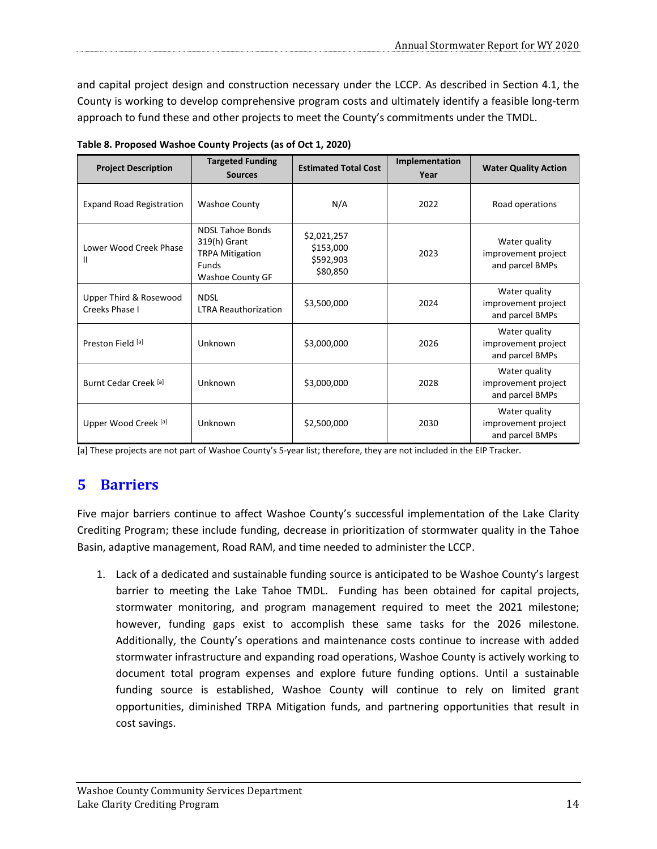and capital project design and construction necessary under the LCCP. As described in Section 4.1, the County is working to develop comprehensive program costs and ultimately identify a feasible long-term approach to fund these and other projects to meet the County's commitments under the TMDL.

| <b>Project Description</b>               | <b>Targeted Funding</b><br><b>Sources</b>                                                             | <b>Estimated Total Cost</b>                       | Implementation<br>Year | <b>Water Quality Action</b>                             |
|------------------------------------------|-------------------------------------------------------------------------------------------------------|---------------------------------------------------|------------------------|---------------------------------------------------------|
| <b>Expand Road Registration</b>          | <b>Washoe County</b>                                                                                  | N/A                                               | 2022                   | Road operations                                         |
| Lower Wood Creek Phase<br>Ш              | <b>NDSL Tahoe Bonds</b><br>319(h) Grant<br><b>TRPA Mitigation</b><br><b>Funds</b><br>Washoe County GF | \$2,021,257<br>\$153,000<br>\$592,903<br>\$80,850 | 2023                   | Water quality<br>improvement project<br>and parcel BMPs |
| Upper Third & Rosewood<br>Creeks Phase I | <b>NDSL</b><br><b>LTRA Reauthorization</b>                                                            | \$3,500,000                                       | 2024                   | Water quality<br>improvement project<br>and parcel BMPs |
| Preston Field [a]                        | Unknown                                                                                               | \$3,000,000                                       | 2026                   | Water quality<br>improvement project<br>and parcel BMPs |
| Burnt Cedar Creek [a]                    | Unknown                                                                                               | \$3,000,000                                       | 2028                   | Water quality<br>improvement project<br>and parcel BMPs |
| Upper Wood Creek [a]                     | Unknown                                                                                               | \$2,500,000                                       | 2030                   | Water quality<br>improvement project<br>and parcel BMPs |

<span id="page-13-1"></span>**Table 8. Proposed Washoe County Projects (as of Oct 1, 2020)**

<span id="page-13-0"></span>[a] These projects are not part of Washoe County's 5-year list; therefore, they are not included in the EIP Tracker.

### **5 Barriers**

Five major barriers continue to affect Washoe County's successful implementation of the Lake Clarity Crediting Program; these include funding, decrease in prioritization of stormwater quality in the Tahoe Basin, adaptive management, Road RAM, and time needed to administer the LCCP.

1. Lack of a dedicated and sustainable funding source is anticipated to be Washoe County's largest barrier to meeting the Lake Tahoe TMDL. Funding has been obtained for capital projects, stormwater monitoring, and program management required to meet the 2021 milestone; however, funding gaps exist to accomplish these same tasks for the 2026 milestone. Additionally, the County's operations and maintenance costs continue to increase with added stormwater infrastructure and expanding road operations, Washoe County is actively working to document total program expenses and explore future funding options. Until a sustainable funding source is established, Washoe County will continue to rely on limited grant opportunities, diminished TRPA Mitigation funds, and partnering opportunities that result in cost savings.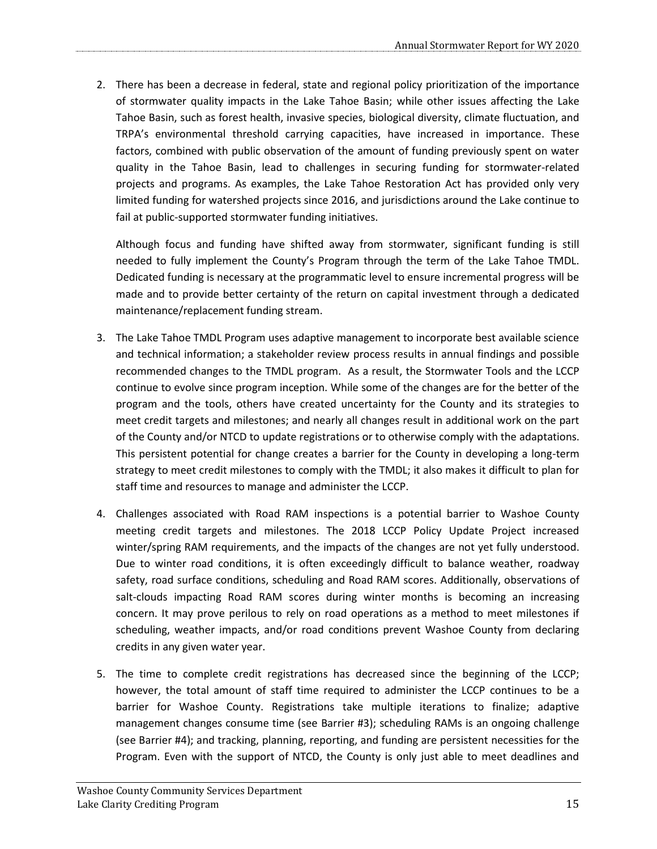2. There has been a decrease in federal, state and regional policy prioritization of the importance of stormwater quality impacts in the Lake Tahoe Basin; while other issues affecting the Lake Tahoe Basin, such as forest health, invasive species, biological diversity, climate fluctuation, and TRPA's environmental threshold carrying capacities, have increased in importance. These factors, combined with public observation of the amount of funding previously spent on water quality in the Tahoe Basin, lead to challenges in securing funding for stormwater-related projects and programs. As examples, the Lake Tahoe Restoration Act has provided only very limited funding for watershed projects since 2016, and jurisdictions around the Lake continue to fail at public-supported stormwater funding initiatives.

Although focus and funding have shifted away from stormwater, significant funding is still needed to fully implement the County's Program through the term of the Lake Tahoe TMDL. Dedicated funding is necessary at the programmatic level to ensure incremental progress will be made and to provide better certainty of the return on capital investment through a dedicated maintenance/replacement funding stream.

- 3. The Lake Tahoe TMDL Program uses adaptive management to incorporate best available science and technical information; a stakeholder review process results in annual findings and possible recommended changes to the TMDL program. As a result, the Stormwater Tools and the LCCP continue to evolve since program inception. While some of the changes are for the better of the program and the tools, others have created uncertainty for the County and its strategies to meet credit targets and milestones; and nearly all changes result in additional work on the part of the County and/or NTCD to update registrations or to otherwise comply with the adaptations. This persistent potential for change creates a barrier for the County in developing a long-term strategy to meet credit milestones to comply with the TMDL; it also makes it difficult to plan for staff time and resources to manage and administer the LCCP.
- 4. Challenges associated with Road RAM inspections is a potential barrier to Washoe County meeting credit targets and milestones. The 2018 LCCP Policy Update Project increased winter/spring RAM requirements, and the impacts of the changes are not yet fully understood. Due to winter road conditions, it is often exceedingly difficult to balance weather, roadway safety, road surface conditions, scheduling and Road RAM scores. Additionally, observations of salt-clouds impacting Road RAM scores during winter months is becoming an increasing concern. It may prove perilous to rely on road operations as a method to meet milestones if scheduling, weather impacts, and/or road conditions prevent Washoe County from declaring credits in any given water year.
- 5. The time to complete credit registrations has decreased since the beginning of the LCCP; however, the total amount of staff time required to administer the LCCP continues to be a barrier for Washoe County. Registrations take multiple iterations to finalize; adaptive management changes consume time (see Barrier #3); scheduling RAMs is an ongoing challenge (see Barrier #4); and tracking, planning, reporting, and funding are persistent necessities for the Program. Even with the support of NTCD, the County is only just able to meet deadlines and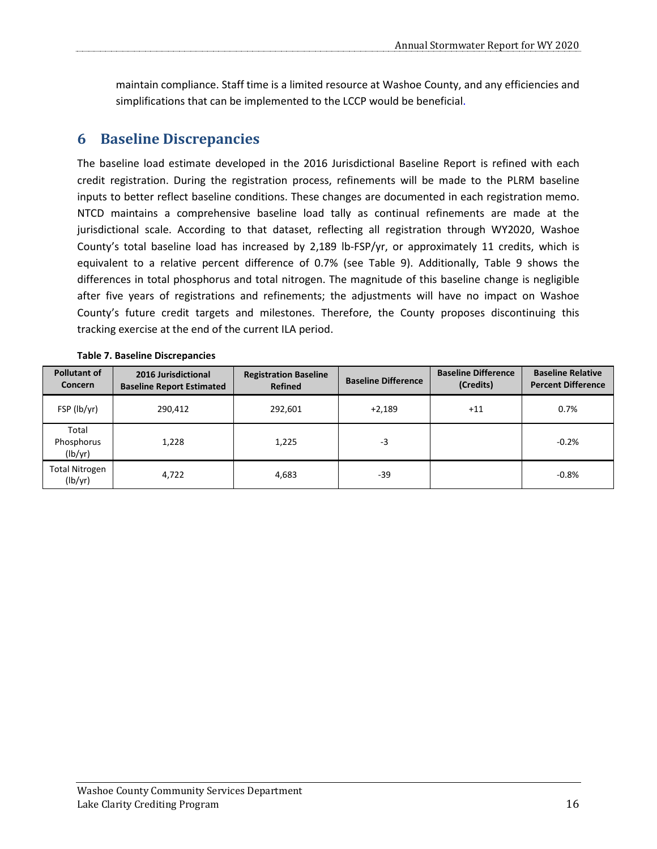maintain compliance. Staff time is a limited resource at Washoe County, and any efficiencies and simplifications that can be implemented to the LCCP would be beneficial.

### <span id="page-15-0"></span>**6 Baseline Discrepancies**

The baseline load estimate developed in the 2016 Jurisdictional Baseline Report is refined with each credit registration. During the registration process, refinements will be made to the PLRM baseline inputs to better reflect baseline conditions. These changes are documented in each registration memo. NTCD maintains a comprehensive baseline load tally as continual refinements are made at the jurisdictional scale. According to that dataset, reflecting all registration through WY2020, Washoe County's total baseline load has increased by 2,189 lb-FSP/yr, or approximately 11 credits, which is equivalent to a relative percent difference of 0.7% (see Table 9). Additionally, Table 9 shows the differences in total phosphorus and total nitrogen. The magnitude of this baseline change is negligible after five years of registrations and refinements; the adjustments will have no impact on Washoe County's future credit targets and milestones. Therefore, the County proposes discontinuing this tracking exercise at the end of the current ILA period.

|  |  |  | <b>Table 7. Baseline Discrepancies</b> |
|--|--|--|----------------------------------------|
|--|--|--|----------------------------------------|

| <b>Pollutant of</b><br><b>Concern</b> | 2016 Jurisdictional<br><b>Baseline Report Estimated</b> | <b>Registration Baseline</b><br><b>Refined</b> | <b>Baseline Difference</b> | <b>Baseline Difference</b><br>(Credits) | <b>Baseline Relative</b><br><b>Percent Difference</b> |
|---------------------------------------|---------------------------------------------------------|------------------------------------------------|----------------------------|-----------------------------------------|-------------------------------------------------------|
| FSP (lb/yr)                           | 290,412                                                 | 292,601                                        | $+2,189$                   | $+11$                                   | 0.7%                                                  |
| Total<br>Phosphorus<br>(lb/yr)        | 1,228                                                   | 1,225                                          | $-3$                       |                                         | $-0.2%$                                               |
| <b>Total Nitrogen</b><br>(lb/yr)      | 4,722                                                   | 4,683                                          | $-39$                      |                                         | $-0.8%$                                               |